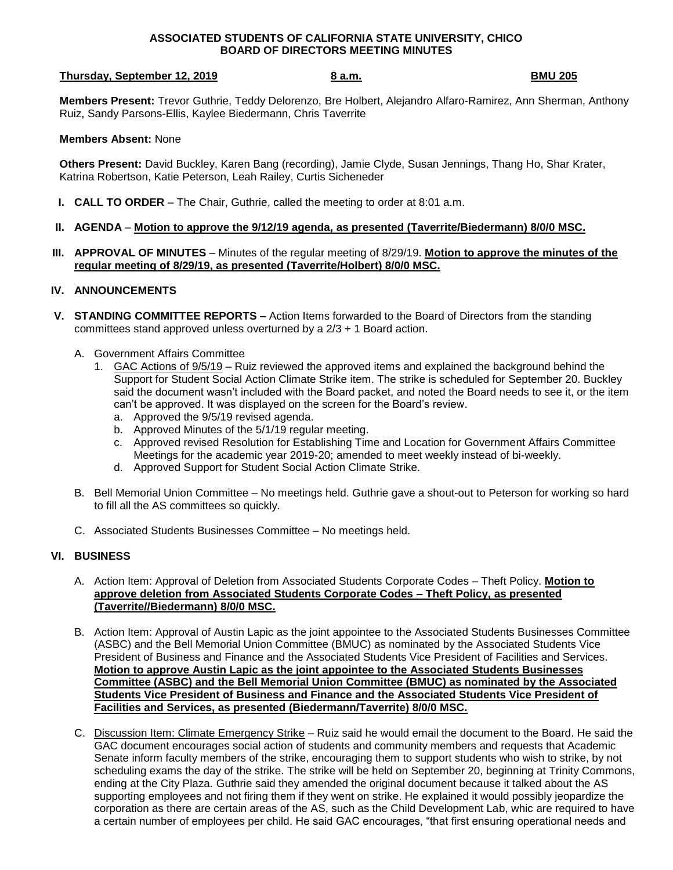#### **ASSOCIATED STUDENTS OF CALIFORNIA STATE UNIVERSITY, CHICO BOARD OF DIRECTORS MEETING MINUTES**

## **Thursday, September 12, 2019 8 a.m. BMU 205**

**Members Present:** Trevor Guthrie, Teddy Delorenzo, Bre Holbert, Alejandro Alfaro-Ramirez, Ann Sherman, Anthony Ruiz, Sandy Parsons-Ellis, Kaylee Biedermann, Chris Taverrite

## **Members Absent:** None

**Others Present:** David Buckley, Karen Bang (recording), Jamie Clyde, Susan Jennings, Thang Ho, Shar Krater, Katrina Robertson, Katie Peterson, Leah Railey, Curtis Sicheneder

- **I. CALL TO ORDER** The Chair, Guthrie, called the meeting to order at 8:01 a.m.
- **II. AGENDA Motion to approve the 9/12/19 agenda, as presented (Taverrite/Biedermann) 8/0/0 MSC.**
- **III. APPROVAL OF MINUTES** Minutes of the regular meeting of 8/29/19. **Motion to approve the minutes of the regular meeting of 8/29/19, as presented (Taverrite/Holbert) 8/0/0 MSC.**

# **IV. ANNOUNCEMENTS**

- **V. STANDING COMMITTEE REPORTS –** Action Items forwarded to the Board of Directors from the standing committees stand approved unless overturned by a 2/3 + 1 Board action.
	- A. Government Affairs Committee
		- 1. GAC Actions of 9/5/19 Ruiz reviewed the approved items and explained the background behind the Support for Student Social Action Climate Strike item. The strike is scheduled for September 20. Buckley said the document wasn't included with the Board packet, and noted the Board needs to see it, or the item can't be approved. It was displayed on the screen for the Board's review.
			- a. Approved the 9/5/19 revised agenda.
			- b. Approved Minutes of the 5/1/19 regular meeting.
			- c. Approved revised Resolution for Establishing Time and Location for Government Affairs Committee Meetings for the academic year 2019-20; amended to meet weekly instead of bi-weekly.
			- d. Approved Support for Student Social Action Climate Strike.
	- B. Bell Memorial Union Committee No meetings held. Guthrie gave a shout-out to Peterson for working so hard to fill all the AS committees so quickly.
	- C. Associated Students Businesses Committee No meetings held.

### **VI. BUSINESS**

- A. Action Item: Approval of Deletion from Associated Students Corporate Codes Theft Policy. **Motion to approve deletion from Associated Students Corporate Codes – Theft Policy, as presented (Taverrite//Biedermann) 8/0/0 MSC.**
- B. Action Item: Approval of Austin Lapic as the joint appointee to the Associated Students Businesses Committee (ASBC) and the Bell Memorial Union Committee (BMUC) as nominated by the Associated Students Vice President of Business and Finance and the Associated Students Vice President of Facilities and Services. **Motion to approve Austin Lapic as the joint appointee to the Associated Students Businesses Committee (ASBC) and the Bell Memorial Union Committee (BMUC) as nominated by the Associated Students Vice President of Business and Finance and the Associated Students Vice President of Facilities and Services, as presented (Biedermann/Taverrite) 8/0/0 MSC.**
- C. Discussion Item: Climate Emergency Strike Ruiz said he would email the document to the Board. He said the GAC document encourages social action of students and community members and requests that Academic Senate inform faculty members of the strike, encouraging them to support students who wish to strike, by not scheduling exams the day of the strike. The strike will be held on September 20, beginning at Trinity Commons, ending at the City Plaza. Guthrie said they amended the original document because it talked about the AS supporting employees and not firing them if they went on strike. He explained it would possibly jeopardize the corporation as there are certain areas of the AS, such as the Child Development Lab, whic are required to have a certain number of employees per child. He said GAC encourages, "that first ensuring operational needs and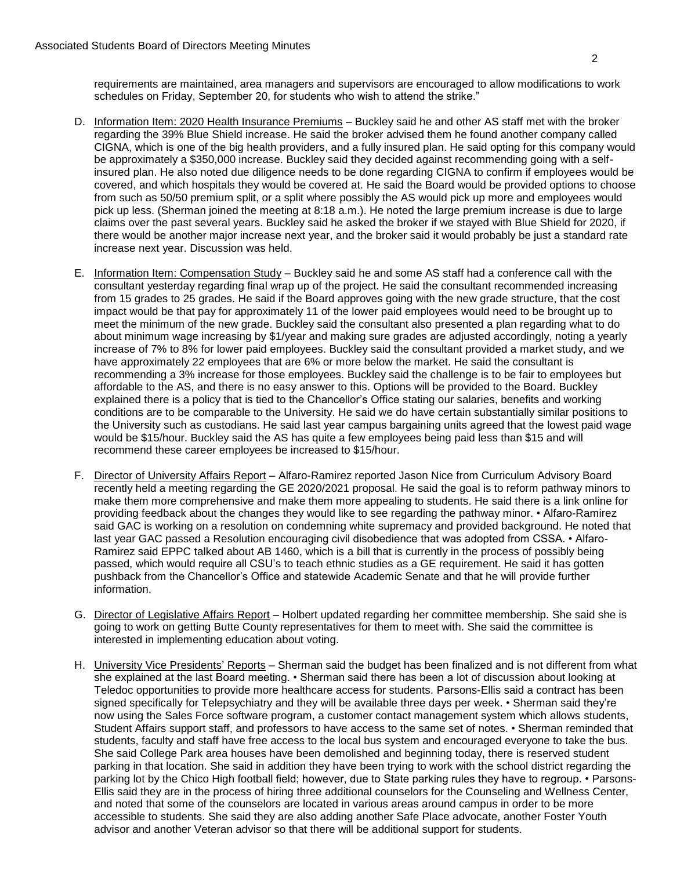requirements are maintained, area managers and supervisors are encouraged to allow modifications to work schedules on Friday, September 20, for students who wish to attend the strike."

- D. Information Item: 2020 Health Insurance Premiums Buckley said he and other AS staff met with the broker regarding the 39% Blue Shield increase. He said the broker advised them he found another company called CIGNA, which is one of the big health providers, and a fully insured plan. He said opting for this company would be approximately a \$350,000 increase. Buckley said they decided against recommending going with a selfinsured plan. He also noted due diligence needs to be done regarding CIGNA to confirm if employees would be covered, and which hospitals they would be covered at. He said the Board would be provided options to choose from such as 50/50 premium split, or a split where possibly the AS would pick up more and employees would pick up less. (Sherman joined the meeting at 8:18 a.m.). He noted the large premium increase is due to large claims over the past several years. Buckley said he asked the broker if we stayed with Blue Shield for 2020, if there would be another major increase next year, and the broker said it would probably be just a standard rate increase next year. Discussion was held.
- E. Information Item: Compensation Study Buckley said he and some AS staff had a conference call with the consultant yesterday regarding final wrap up of the project. He said the consultant recommended increasing from 15 grades to 25 grades. He said if the Board approves going with the new grade structure, that the cost impact would be that pay for approximately 11 of the lower paid employees would need to be brought up to meet the minimum of the new grade. Buckley said the consultant also presented a plan regarding what to do about minimum wage increasing by \$1/year and making sure grades are adjusted accordingly, noting a yearly increase of 7% to 8% for lower paid employees. Buckley said the consultant provided a market study, and we have approximately 22 employees that are 6% or more below the market. He said the consultant is recommending a 3% increase for those employees. Buckley said the challenge is to be fair to employees but affordable to the AS, and there is no easy answer to this. Options will be provided to the Board. Buckley explained there is a policy that is tied to the Chancellor's Office stating our salaries, benefits and working conditions are to be comparable to the University. He said we do have certain substantially similar positions to the University such as custodians. He said last year campus bargaining units agreed that the lowest paid wage would be \$15/hour. Buckley said the AS has quite a few employees being paid less than \$15 and will recommend these career employees be increased to \$15/hour.
- F. Director of University Affairs Report Alfaro-Ramirez reported Jason Nice from Curriculum Advisory Board recently held a meeting regarding the GE 2020/2021 proposal. He said the goal is to reform pathway minors to make them more comprehensive and make them more appealing to students. He said there is a link online for providing feedback about the changes they would like to see regarding the pathway minor. • Alfaro-Ramirez said GAC is working on a resolution on condemning white supremacy and provided background. He noted that last year GAC passed a Resolution encouraging civil disobedience that was adopted from CSSA. • Alfaro-Ramirez said EPPC talked about AB 1460, which is a bill that is currently in the process of possibly being passed, which would require all CSU's to teach ethnic studies as a GE requirement. He said it has gotten pushback from the Chancellor's Office and statewide Academic Senate and that he will provide further information.
- G. Director of Legislative Affairs Report Holbert updated regarding her committee membership. She said she is going to work on getting Butte County representatives for them to meet with. She said the committee is interested in implementing education about voting.
- H. University Vice Presidents' Reports Sherman said the budget has been finalized and is not different from what she explained at the last Board meeting. • Sherman said there has been a lot of discussion about looking at Teledoc opportunities to provide more healthcare access for students. Parsons-Ellis said a contract has been signed specifically for Telepsychiatry and they will be available three days per week. • Sherman said they're now using the Sales Force software program, a customer contact management system which allows students, Student Affairs support staff, and professors to have access to the same set of notes. • Sherman reminded that students, faculty and staff have free access to the local bus system and encouraged everyone to take the bus. She said College Park area houses have been demolished and beginning today, there is reserved student parking in that location. She said in addition they have been trying to work with the school district regarding the parking lot by the Chico High football field; however, due to State parking rules they have to regroup. • Parsons-Ellis said they are in the process of hiring three additional counselors for the Counseling and Wellness Center, and noted that some of the counselors are located in various areas around campus in order to be more accessible to students. She said they are also adding another Safe Place advocate, another Foster Youth advisor and another Veteran advisor so that there will be additional support for students.